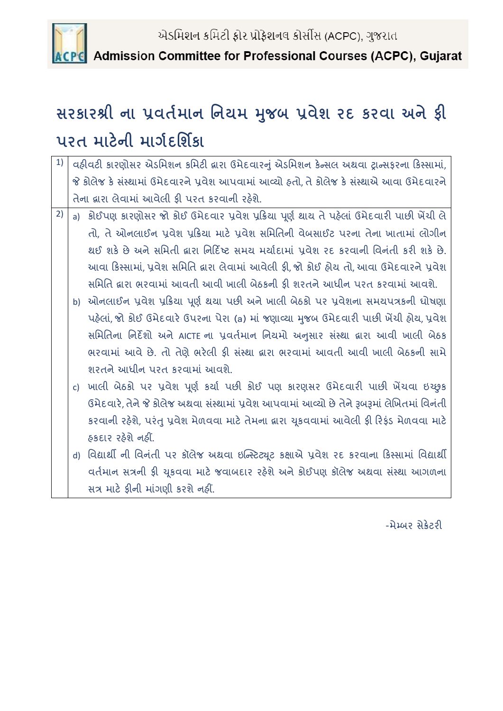

Admission Committee for Professional Courses (ACPC), Gujarat

## **સરકારશ્રી ના પ્રવર્તમાન નનયમ મજુ બ પ્રવેશ રદ કરવા અનેફી પરર્ માટેની માર્તદનશિકા**

- 1) | વહીવટી કારણોસર એડમિશન કમિટી દ્વારા ઉમેદવારનું એડમિશન કેન્સલ અથવા ટ્રાન્સફરના કિસ્સામાં, જે કોલેજ કે સંસ્થામાં ઉમેદવારને પ્રવેશ આપવામાં આવ્યો હતો, તે કોલેજ કે સંસ્થાએ આવા ઉમેદવારને તેના દ્વારા લેવામાં આવેલી કી પરત કરવાની રહેશે.
- $\sim$  2)  $\mid$  a) કોઈપણ કારણોસર જો કોઈ ઉમેદવાર પ્રવેશ પ્રક્રિયા પૂર્ણ થાય તે પહેલાં ઉમેદવારી પાછી ખેંચી લે તો, તે ઓનલાઈન પ્રવેશ પ્રક્રિયા માટે પ્રવેશ સમિતિની વેબસાઈટ પરના તેના ખાતામાં લોગીન થઈ શકે છે અને સમિતી દ્વારા નિર્દિષ્ટ સમય મર્યાદામાં પવેશ રદ કરવાની વિનંતી કરી શકે છે. આવા કિસ્સામાં, પ્રવેશ સમિતિ દ્વારા લેવામાં આવેલી ફી, જો કોઈ હોય તો, આવા ઉમેદવારને પ્રવેશ સમમમત દ્વારા ભરવામાું આવતી આવી ખાલી બેઠકની ફી શરતને આધીન પરત કરવામાું આવશે.
	- b) ઓનલાઈન પ્રવેશ પ્રક્રિયા પૂર્ણ થયા પછી અને ખાલી બેઠકો પર પ્રવેશના સમયપત્રકની ધોષણા પહેલાં, જો કોઈ ઉમેદવારે ઉપરના પેરા (a) માં જણાવ્યા મુજબ ઉમેદવારી પાછી ખેંચી હોય, પ્રવેશ સમિતિના નિર્દેશો અને AICTE ના પ્રવર્તમાન નિયમો અનુસાર સંસ્થા દ્વારા આવી ખાલી બેઠક ભરવામાં આવે છે. તો તેણે ભરેલી ફી સંસ્થા દ્વારા ભરવામાં આવતી આવી ખાલી બેઠકની સામે શરતને આધીન પરત કરવામાું આવશે.
	- c) ખાલી બેઠકો પર પ્રવેશ પૂર્ણ કર્યા પછી કોઈ પણ કારણસર ઉમેદવારી પાછી ખેંચવા ઇચ્છુક ઉમેદવારે, તેને જે કોલેજ અથવા સંસ્થામાં પ્રવેશ આપવામાં આવ્યો છે તેને રૂબરૂમાં લેખિતમાં વિનંતી કરવાની રહેશે, પરંતુ પ્રવેશ મેળવવા માટે તેમના દ્વારા ચુકવવામાં આવેલી ફી રિફંડ મેળવવા માટે હકદાર રહેશે નહીં.
	- d) વિદ્યાર્થી ની વિનંતી પર કૉલેજ અથવા ઇન્સ્ટિટ્યૂટ કક્ષાએ પ્રવેશ રદ કરવાના કિસ્સામાં વિદ્યાર્થી વર્તમાન સત્રની ફી ચુકવવા માટે જવાબદાર રહેશે અને કોઈપણ કૉલેજ અથવા સંસ્થા આગળના સત્ર માટે કીની માંગણી કરશે નહીં.

-મેમ્બર સેક્રેટરી